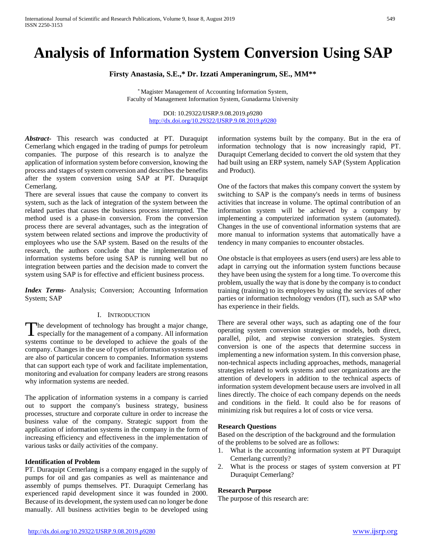# **Analysis of Information System Conversion Using SAP**

**Firsty Anastasia, S.E.,\* Dr. Izzati Amperaningrum, SE., MM\*\***

\* Magister Management of Accounting Information System, Faculty of Management Information System, Gunadarma University

> DOI: 10.29322/IJSRP.9.08.2019.p9280 <http://dx.doi.org/10.29322/IJSRP.9.08.2019.p9280>

*Abstract***-** This research was conducted at PT. Duraquipt Cemerlang which engaged in the trading of pumps for petroleum companies. The purpose of this research is to analyze the application of information system before conversion, knowing the process and stages of system conversion and describes the benefits after the system conversion using SAP at PT. Duraquipt Cemerlang.

There are several issues that cause the company to convert its system, such as the lack of integration of the system between the related parties that causes the business process interrupted. The method used is a phase-in conversion. From the conversion process there are several advantages, such as the integration of system between related sections and improve the productivity of employees who use the SAP system. Based on the results of the research, the authors conclude that the implementation of information systems before using SAP is running well but no integration between parties and the decision made to convert the system using SAP is for effective and efficient business process.

*Index Terms*- Analysis; Conversion; Accounting Information System; SAP

## I. INTRODUCTION

The development of technology has brought a major change, The development of technology has brought a major change, especially for the management of a company. All information systems continue to be developed to achieve the goals of the company. Changes in the use of types of information systems used are also of particular concern to companies. Information systems that can support each type of work and facilitate implementation, monitoring and evaluation for company leaders are strong reasons why information systems are needed.

The application of information systems in a company is carried out to support the company's business strategy, business processes, structure and corporate culture in order to increase the business value of the company. Strategic support from the application of information systems in the company in the form of increasing efficiency and effectiveness in the implementation of various tasks or daily activities of the company.

#### **Identification of Problem**

PT. Duraquipt Cemerlang is a company engaged in the supply of pumps for oil and gas companies as well as maintenance and assembly of pumps themselves. PT. Duraquipt Cemerlang has experienced rapid development since it was founded in 2000. Because of its development, the system used can no longer be done manually. All business activities begin to be developed using information systems built by the company. But in the era of information technology that is now increasingly rapid, PT. Duraquipt Cemerlang decided to convert the old system that they had built using an ERP system, namely SAP (System Application and Product).

One of the factors that makes this company convert the system by switching to SAP is the company's needs in terms of business activities that increase in volume. The optimal contribution of an information system will be achieved by a company by implementing a computerized information system (automated). Changes in the use of conventional information systems that are more manual to information systems that automatically have a tendency in many companies to encounter obstacles.

One obstacle is that employees as users (end users) are less able to adapt in carrying out the information system functions because they have been using the system for a long time. To overcome this problem, usually the way that is done by the company is to conduct training (training) to its employees by using the services of other parties or information technology vendors (IT), such as SAP who has experience in their fields.

There are several other ways, such as adapting one of the four operating system conversion strategies or models, both direct, parallel, pilot, and stepwise conversion strategies. System conversion is one of the aspects that determine success in implementing a new information system. In this conversion phase, non-technical aspects including approaches, methods, managerial strategies related to work systems and user organizations are the attention of developers in addition to the technical aspects of information system development because users are involved in all lines directly. The choice of each company depends on the needs and conditions in the field. It could also be for reasons of minimizing risk but requires a lot of costs or vice versa.

#### **Research Questions**

Based on the description of the background and the formulation of the problems to be solved are as follows:

- 1. What is the accounting information system at PT Duraquipt Cemerlang currently?
- 2. What is the process or stages of system conversion at PT Duraquipt Cemerlang?

#### **Research Purpose**

The purpose of this research are: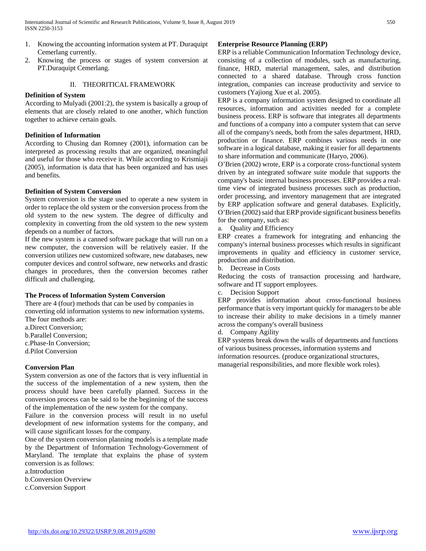- 1. Knowing the accounting information system at PT. Duraquipt Cemerlang currently.
- 2. Knowing the process or stages of system conversion at PT.Duraquipt Cemerlang.

## II. THEORITICAL FRAMEWORK

## **Definition of System**

According to Mulyadi (2001:2), the system is basically a group of elements that are closely related to one another, which function together to achieve certain goals.

## **Definition of Information**

According to Chusing dan Romney (2001), information can be interpreted as processing results that are organized, meaningful and useful for those who receive it. While according to Krismiaji (2005), information is data that has been organized and has uses and benefits.

## **Definition of System Conversion**

System conversion is the stage used to operate a new system in order to replace the old system or the conversion process from the old system to the new system. The degree of difficulty and complexity in converting from the old system to the new system depends on a number of factors.

If the new system is a canned software package that will run on a new computer, the conversion will be relatively easier. If the conversion utilizes new customized software, new databases, new computer devices and control software, new networks and drastic changes in procedures, then the conversion becomes rather difficult and challenging.

#### **The Process of Information System Conversion**

There are 4 (four) methods that can be used by companies in converting old information systems to new information systems. The four methods are:

a.Direct Conversion; b.Parallel Conversion;

- c.Phase-In Conversion;
- d.Pilot Conversion

## **Conversion Plan**

System conversion as one of the factors that is very influential in the success of the implementation of a new system, then the process should have been carefully planned. Success in the conversion process can be said to be the beginning of the success of the implementation of the new system for the company.

Failure in the conversion process will result in no useful development of new information systems for the company, and will cause significant losses for the company.

One of the system conversion planning models is a template made by the Department of Information Technology-Government of Maryland. The template that explains the phase of system conversion is as follows:

a.Introduction

b.Conversion Overview

c.Conversion Support

#### **Enterprise Resource Planning (ERP)**

ERP is a reliable Communication Information Technology device, consisting of a collection of modules, such as manufacturing, finance, HRD, material management, sales, and distribution connected to a shared database. Through cross function integration, companies can increase productivity and service to customers (Yajiong Xue et al. 2005).

ERP is a company information system designed to coordinate all resources, information and activities needed for a complete business process. ERP is software that integrates all departments and functions of a company into a computer system that can serve all of the company's needs, both from the sales department, HRD, production or finance. ERP combines various needs in one software in a logical database, making it easier for all departments to share information and communicate (Haryo, 2006).

O'Brien (2002) wrote, ERP is a corporate cross-functional system driven by an integrated software suite module that supports the company's basic internal business processes. ERP provides a realtime view of integrated business processes such as production, order processing, and inventory management that are integrated by ERP application software and general databases. Explicitly, O'Brien (2002) said that ERP provide significant business benefits for the company, such as:

a. Quality and Efficiency

ERP creates a framework for integrating and enhancing the company's internal business processes which results in significant improvements in quality and efficiency in customer service, production and distribution.

b. Decrease in Costs

Reducing the costs of transaction processing and hardware, software and IT support employees.

c. Decision Support

ERP provides information about cross-functional business performance that is very important quickly for managers to be able to increase their ability to make decisions in a timely manner across the company's overall business

d. Company Agility

ERP systems break down the walls of departments and functions of various business processes, information systems and information resources. (produce organizational structures, managerial responsibilities, and more flexible work roles).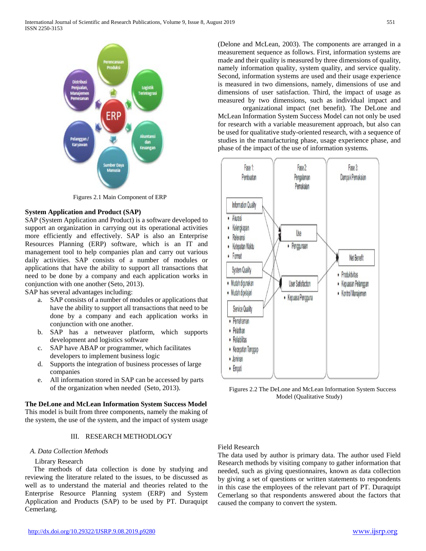

Figures 2.1 Main Component of ERP

## **System Application and Product (SAP)**

SAP (System Application and Product) is a software developed to support an organization in carrying out its operational activities more efficiently and effectively. SAP is also an Enterprise Resources Planning (ERP) software, which is an IT and management tool to help companies plan and carry out various daily activities. SAP consists of a number of modules or applications that have the ability to support all transactions that need to be done by a company and each application works in conjunction with one another (Seto, 2013).

SAP has several advantages including:

- a. SAP consists of a number of modules or applications that have the ability to support all transactions that need to be done by a company and each application works in conjunction with one another.
- b. SAP has a netweaver platform, which supports development and logistics software
- c. SAP have ABAP or programmer, which facilitates developers to implement business logic
- d. Supports the integration of business processes of large companies
- e. All information stored in SAP can be accessed by parts of the organization when needed (Seto, 2013).

## **The DeLone and McLean Information System Success Model** This model is built from three components, namely the making of the system, the use of the system, and the impact of system usage

# III. RESEARCH METHODLOGY

## *A. Data Collection Methods*

# Library Research

The methods of data collection is done by studying and reviewing the literature related to the issues, to be discussed as well as to understand the material and theories related to the Enterprise Resource Planning system (ERP) and System Application and Products (SAP) to be used by PT. Duraquipt Cemerlang.

(Delone and McLean, 2003). The components are arranged in a measurement sequence as follows. First, information systems are made and their quality is measured by three dimensions of quality, namely information quality, system quality, and service quality. Second, information systems are used and their usage experience is measured in two dimensions, namely, dimensions of use and dimensions of user satisfaction. Third, the impact of usage as measured by two dimensions, such as individual impact and

organizational impact (net benefit). The DeLone and McLean Information System Success Model can not only be used for research with a variable measurement approach, but also can be used for qualitative study-oriented research, with a sequence of studies in the manufacturing phase, usage experience phase, and phase of the impact of the use of information systems*.*



Figures 2.2 The DeLone and McLean Information System Success Model (Qualitative Study)

# Field Research

The data used by author is primary data. The author used Field Research methods by visiting company to gather information that needed, such as giving questionnaires, known as data collection by giving a set of questions or written statements to respondents in this case the employees of the relevant part of PT. Duraquipt Cemerlang so that respondents answered about the factors that caused the company to convert the system.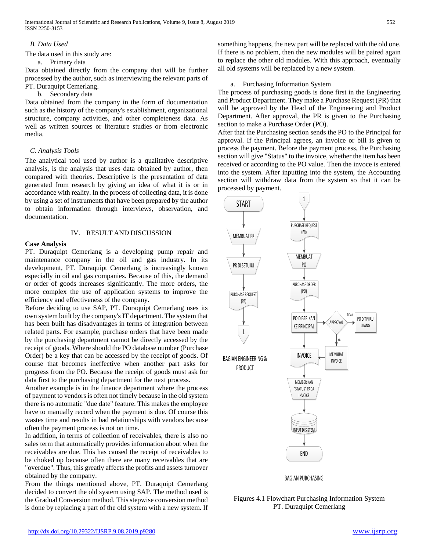## *B. Data Used*

The data used in this study are:

#### a. Primary data

Data obtained directly from the company that will be further processed by the author, such as interviewing the relevant parts of PT. Duraquipt Cemerlang.

# b. Secondary data

Data obtained from the company in the form of documentation such as the history of the company's establishment, organizational structure, company activities, and other completeness data. As well as written sources or literature studies or from electronic media.

## *C. Analysis Tools*

The analytical tool used by author is a qualitative descriptive analysis, is the analysis that uses data obtained by author, then compared with theories. Descriptive is the presentation of data generated from research by giving an idea of what it is or in accordance with reality. In the process of collecting data, it is done by using a set of instruments that have been prepared by the author to obtain information through interviews, observation, and documentation.

## IV. RESULT AND DISCUSSION

## **Case Analysis**

PT. Duraquipt Cemerlang is a developing pump repair and maintenance company in the oil and gas industry. In its development, PT. Duraquipt Cemerlang is increasingly known especially in oil and gas companies. Because of this, the demand or order of goods increases significantly. The more orders, the more complex the use of application systems to improve the efficiency and effectiveness of the company.

Before deciding to use SAP, PT. Duraquipt Cemerlang uses its own system built by the company's IT department. The system that has been built has disadvantages in terms of integration between related parts. For example, purchase orders that have been made by the purchasing department cannot be directly accessed by the receipt of goods. Where should the PO database number (Purchase Order) be a key that can be accessed by the receipt of goods. Of course that becomes ineffective when another part asks for progress from the PO. Because the receipt of goods must ask for data first to the purchasing department for the next process.

Another example is in the finance department where the process of payment to vendors is often not timely because in the old system there is no automatic "due date" feature. This makes the employee have to manually record when the payment is due. Of course this wastes time and results in bad relationships with vendors because often the payment process is not on time.

In addition, in terms of collection of receivables, there is also no sales term that automatically provides information about when the receivables are due. This has caused the receipt of receivables to be choked up because often there are many receivables that are "overdue". Thus, this greatly affects the profits and assets turnover obtained by the company.

From the things mentioned above, PT. Duraquipt Cemerlang decided to convert the old system using SAP. The method used is the Gradual Conversion method. This stepwise conversion method is done by replacing a part of the old system with a new system. If something happens, the new part will be replaced with the old one. If there is no problem, then the new modules will be paired again to replace the other old modules. With this approach, eventually all old systems will be replaced by a new system.

## a. Purchasing Information System

The process of purchasing goods is done first in the Engineering and Product Department. They make a Purchase Request (PR) that will be approved by the Head of the Engineering and Product Department. After approval, the PR is given to the Purchasing section to make a Purchase Order (PO).

After that the Purchasing section sends the PO to the Principal for approval. If the Principal agrees, an invoice or bill is given to process the payment. Before the payment process, the Purchasing section will give "Status" to the invoice, whether the item has been received or according to the PO value. Then the invoce is entered into the system. After inputting into the system, the Accounting section will withdraw data from the system so that it can be processed by payment.



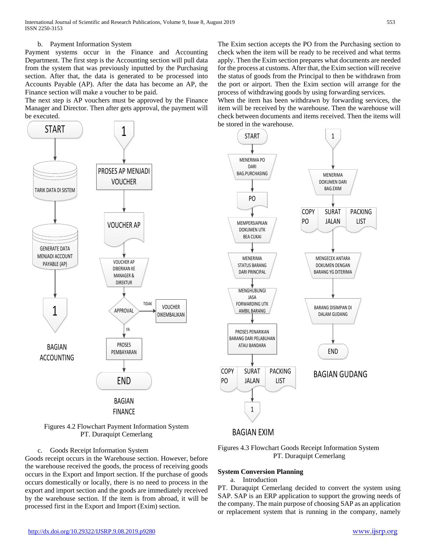## b. Payment Information System

Payment systems occur in the Finance and Accounting Department. The first step is the Accounting section will pull data from the system that was previously inputted by the Purchasing section. After that, the data is generated to be processed into Accounts Payable (AP). After the data has become an AP, the Finance section will make a voucher to be paid.

The next step is AP vouchers must be approved by the Finance Manager and Director. Then after gets approval, the payment will be executed.





## c. Goods Receipt Information System

Goods receipt occurs in the Warehouse section. However, before the warehouse received the goods, the process of receiving goods occurs in the Export and Import section. If the purchase of goods occurs domestically or locally, there is no need to process in the export and import section and the goods are immediately received by the warehouse section. If the item is from abroad, it will be processed first in the Export and Import (Exim) section.

The Exim section accepts the PO from the Purchasing section to check when the item will be ready to be received and what terms apply. Then the Exim section prepares what documents are needed for the process at customs. After that, the Exim section will receive the status of goods from the Principal to then be withdrawn from the port or airport. Then the Exim section will arrange for the process of withdrawing goods by using forwarding services.

When the item has been withdrawn by forwarding services, the item will be received by the warehouse. Then the warehouse will check between documents and items received. Then the items will be stored in the warehouse.





## **System Conversion Planning**

#### a. Introduction

PT. Duraquipt Cemerlang decided to convert the system using SAP. SAP is an ERP application to support the growing needs of the company. The main purpose of choosing SAP as an application or replacement system that is running in the company, namely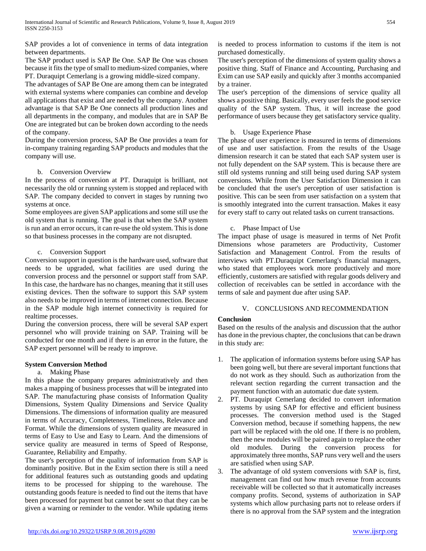SAP provides a lot of convenience in terms of data integration between departments.

The SAP product used is SAP Be One. SAP Be One was chosen because it fits the type of small to medium-sized companies, where PT. Duraquipt Cemerlang is a growing middle-sized company.

The advantages of SAP Be One are among them can be integrated with external systems where companies can combine and develop all applications that exist and are needed by the company. Another advantage is that SAP Be One connects all production lines and all departments in the company, and modules that are in SAP Be One are integrated but can be broken down according to the needs of the company.

During the conversion process, SAP Be One provides a team for in-company training regarding SAP products and modules that the company will use.

## b. Conversion Overview

In the process of conversion at PT. Duraquipt is brilliant, not necessarily the old or running system is stopped and replaced with SAP. The company decided to convert in stages by running two systems at once.

Some employees are given SAP applications and some still use the old system that is running. The goal is that when the SAP system is run and an error occurs, it can re-use the old system. This is done so that business processes in the company are not disrupted.

## c. Conversion Support

Conversion support in question is the hardware used, software that needs to be upgraded, what facilities are used during the conversion process and the personnel or support staff from SAP. In this case, the hardware has no changes, meaning that it still uses existing devices. Then the software to support this SAP system also needs to be improved in terms of internet connection. Because in the SAP module high internet connectivity is required for realtime processes.

During the conversion process, there will be several SAP expert personnel who will provide training on SAP. Training will be conducted for one month and if there is an error in the future, the SAP expert personnel will be ready to improve.

## **System Conversion Method**

## a. Making Phase

In this phase the company prepares administratively and then makes a mapping of business processes that will be integrated into SAP. The manufacturing phase consists of Information Quality Dimensions, System Quality Dimensions and Service Quality Dimensions. The dimensions of information quality are measured in terms of Accuracy, Completeness, Timeliness, Relevance and Format. While the dimensions of system quality are measured in terms of Easy to Use and Easy to Learn. And the dimensions of service quality are measured in terms of Speed of Response, Guarantee, Reliability and Empathy.

The user's perception of the quality of information from SAP is dominantly positive. But in the Exim section there is still a need for additional features such as outstanding goods and updating items to be processed for shipping to the warehouse. The outstanding goods feature is needed to find out the items that have been processed for payment but cannot be sent so that they can be given a warning or reminder to the vendor. While updating items is needed to process information to customs if the item is not purchased domestically.

The user's perception of the dimensions of system quality shows a positive thing. Staff of Finance and Accounting, Purchasing and Exim can use SAP easily and quickly after 3 months accompanied by a trainer.

The user's perception of the dimensions of service quality all shows a positive thing. Basically, every user feels the good service quality of the SAP system. Thus, it will increase the good performance of users because they get satisfactory service quality.

## b. Usage Experience Phase

The phase of user experience is measured in terms of dimensions of use and user satisfaction. From the results of the Usage dimension research it can be stated that each SAP system user is not fully dependent on the SAP system. This is because there are still old systems running and still being used during SAP system conversions. While from the User Satisfaction Dimension it can be concluded that the user's perception of user satisfaction is positive. This can be seen from user satisfaction on a system that is smoothly integrated into the current transaction. Makes it easy for every staff to carry out related tasks on current transactions.

## c. Phase Impact of Use

The impact phase of usage is measured in terms of Net Profit Dimensions whose parameters are Productivity, Customer Satisfaction and Management Control. From the results of interviews with PT.Duraquipt Cemerlang's financial managers, who stated that employees work more productively and more efficiently, customers are satisfied with regular goods delivery and collection of receivables can be settled in accordance with the terms of sale and payment due after using SAP.

## V. CONCLUSIONS AND RECOMMENDATION

## **Conclusion**

Based on the results of the analysis and discussion that the author has done in the previous chapter, the conclusions that can be drawn in this study are:

- 1. The application of information systems before using SAP has been going well, but there are several important functions that do not work as they should. Such as authorization from the relevant section regarding the current transaction and the payment function with an automatic due date system.
- 2. PT. Duraquipt Cemerlang decided to convert information systems by using SAP for effective and efficient business processes. The conversion method used is the Staged Conversion method, because if something happens, the new part will be replaced with the old one. If there is no problem, then the new modules will be paired again to replace the other old modules. During the conversion process for approximately three months, SAP runs very well and the users are satisfied when using SAP.
- 3. The advantage of old system conversions with SAP is, first, management can find out how much revenue from accounts receivable will be collected so that it automatically increases company profits. Second, systems of authorization in SAP systems which allow purchasing parts not to release orders if there is no approval from the SAP system and the integration